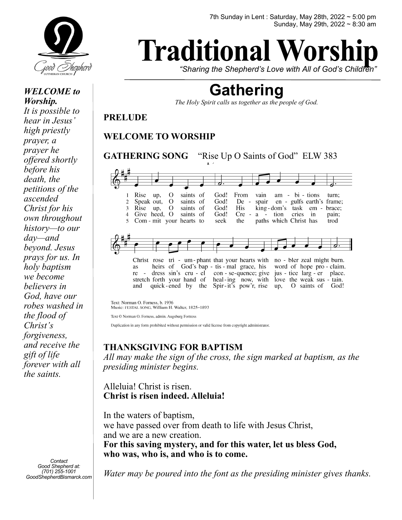

*WELCOME to Worship. It is possible to hear in Jesus' high priestly prayer, a prayer he offered shortly before his death, the petitions of the ascended Christ for his own throughout history—to our day—and beyond. Jesus prays for us. In holy baptism we become believers in God, have our robes washed in the flood of Christ's forgiveness, and receive the gift of life forever with all* 

*Contact Good Shepherd at: (701) 255-1001 GoodShepherdBismarck.com*

*the saints.* 

# **Traditional Wors**

*"Sharing the Shepherd's Love with All of God's Children"*

# **Gathering**

*The Holy Spirit calls us together as the people of God.* 

**PRELUDE** 

## **WELCOME TO WORSHIP**

**GATHERING SONG** "Rise Up O Saints of God" ELW 383 saints of God! Rise  $\mathcal{O}$ From  $am - bi - tions$ up, vain turn: Speak out,  $\Omega$ saints of God!  $\mathfrak{D}$  $De$ spair en - gulfs earth's frame;  $\mathbf{3}$ Rise up,  $\Omega$ saints of God! His king-dom's task embrace; Give heed, O 4 saints of God!  $Cre$ a. tion cries in pain;  $\sim 10^{-11}$ Com - mit your hearts to seek the paths which Christ has trod Christ rose tri - um-phant that your hearts with no - bler zeal might burn.<br>as heirs of God's bap - tis - mal grace, his word of hope pro - claim. word of hope pro - claim. con - se-quence; give jus - tice larg - er place.  $re$ dress sin's cru - el stretch forth your hand of heal-ing now, with love the weak sus - tain. and quick-ened by the Spir-it's pow'r, rise up, O saints of God!

Text: Norman O. Forness, b. 1936<br>Music: FESTAL SONG, William H. Walter, 1825-1893

Text © Norman O. Forness, admin. Augsburg Fortress

Duplication in any form prohibited without permission or valid license from copyright administrator.

# **THANKSGIVING FOR BAPTISM**

*All may make the sign of the cross, the sign marked at baptism, as the presiding minister begins.* 

Alleluia! Christ is risen. **Christ is risen indeed. Alleluia!** 

In the waters of baptism, we have passed over from death to life with Jesus Christ, and we are a new creation. **For this saving mystery, and for this water, let us bless God, who was, who is, and who is to come.** 

*Water may be poured into the font as the presiding minister gives thanks.*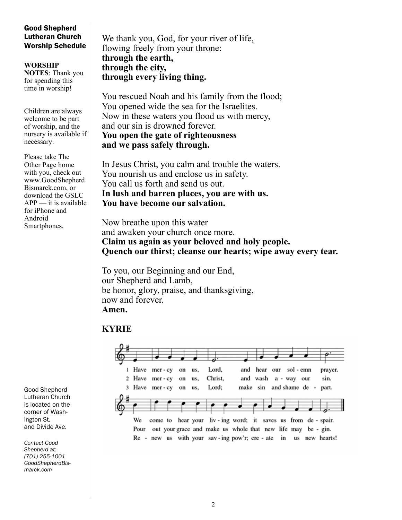#### Good Shepherd Lutheran Church Worship Schedule

**WORSHIP NOTES**: Thank you for spending this time in worship!

Children are always welcome to be part of worship, and the nursery is available if necessary.

Please take The Other Page home with you, check out www.GoodShepherd Bismarck.com, or download the GSLC  $APP$  — it is available for iPhone and Android Smartphones.

Good Shepherd Lutheran Church is located on the corner of Washington St. and Divide Ave.

*Contact Good Shepherd at: (701) 255-1001 GoodShepherdBismarck.com*

We thank you, God, for your river of life, flowing freely from your throne: **through the earth, through the city, through every living thing.** 

You rescued Noah and his family from the flood; You opened wide the sea for the Israelites. Now in these waters you flood us with mercy, and our sin is drowned forever. **You open the gate of righteousness and we pass safely through.** 

In Jesus Christ, you calm and trouble the waters. You nourish us and enclose us in safety. You call us forth and send us out. **In lush and barren places, you are with us. You have become our salvation.** 

Now breathe upon this water and awaken your church once more. **Claim us again as your beloved and holy people. Quench our thirst; cleanse our hearts; wipe away every tear.** 

To you, our Beginning and our End, our Shepherd and Lamb, be honor, glory, praise, and thanksgiving, now and forever. **Amen.**

# **KYRIE**

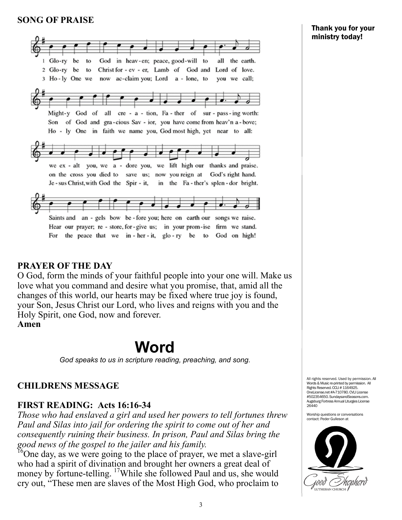#### **SONG OF PRAISE**



#### **PRAYER OF THE DAY**

O God, form the minds of your faithful people into your one will. Make us love what you command and desire what you promise, that, amid all the changes of this world, our hearts may be fixed where true joy is found, your Son, Jesus Christ our Lord, who lives and reigns with you and the Holy Spirit, one God, now and forever. **Amen**

# **Word**

*God speaks to us in scripture reading, preaching, and song.* 

#### **CHILDRENS MESSAGE**

#### **FIRST READING: Acts 16:16-34**

*Those who had enslaved a girl and used her powers to tell fortunes threw Paul and Silas into jail for ordering the spirit to come out of her and consequently ruining their business. In prison, Paul and Silas bring the good news of the gospel to the jailer and his family.* 

 $^{16}$ One day, as we were going to the place of prayer, we met a slave-girl who had a spirit of divination and brought her owners a great deal of money by fortune-telling. <sup>17</sup>While she followed Paul and us, she would cry out, "These men are slaves of the Most High God, who proclaim to

All rights reserved. Used by permission. All Words & Music re-printed by permission. All Rights Reserved. CCLI # 1164925. OneLicense.net #A-710780. CVLI License #502354650. SundaysandSeasons.com. Augsburg Fortress Annual Liturgies License 26440

Worship questions or conversations contact: Peder Gulleson at

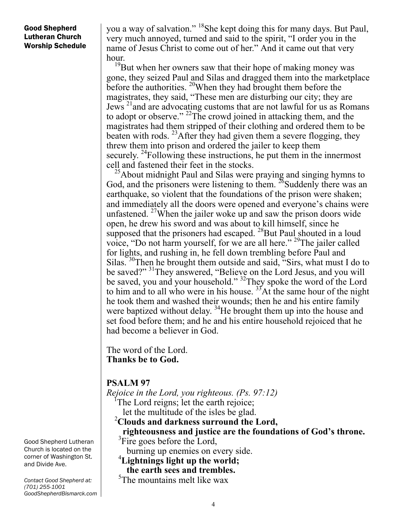#### Good Shepherd Lutheran Church Worship Schedule

you a way of salvation." <sup>18</sup>She kept doing this for many days. But Paul, very much annoyed, turned and said to the spirit, "I order you in the name of Jesus Christ to come out of her." And it came out that very hour.

<sup>19</sup>But when her owners saw that their hope of making money was gone, they seized Paul and Silas and dragged them into the marketplace before the authorities.  $^{20}$ When they had brought them before the magistrates, they said, "These men are disturbing our city; they are Jews 21and are advocating customs that are not lawful for us as Romans to adopt or observe."  $^{22}$ The crowd joined in attacking them, and the magistrates had them stripped of their clothing and ordered them to be beaten with rods. <sup>23</sup> After they had given them a severe flogging, they threw them into prison and ordered the jailer to keep them securely. <sup>24</sup>Following these instructions, he put them in the innermost cell and fastened their feet in the stocks.

 $25$ About midnight Paul and Silas were praying and singing hymns to God, and the prisoners were listening to them.  $^{26}$ Suddenly there was an earthquake, so violent that the foundations of the prison were shaken; and immediately all the doors were opened and everyone's chains were unfastened. <sup>27</sup>When the jailer woke up and saw the prison doors wide open, he drew his sword and was about to kill himself, since he supposed that the prisoners had escaped. <sup>28</sup>But Paul shouted in a loud voice, "Do not harm yourself, for we are all here." 29The jailer called for lights, and rushing in, he fell down trembling before Paul and Silas.<sup>30</sup>Then he brought them outside and said, "Sirs, what must I do to be saved?"<sup>31</sup>They answered, "Believe on the Lord Jesus, and you will be saved, you and your household." <sup>32</sup>They spoke the word of the Lord to him and to all who were in his house.  $3^3$ At the same hour of the night he took them and washed their wounds; then he and his entire family were baptized without delay. <sup>34</sup>He brought them up into the house and set food before them; and he and his entire household rejoiced that he had become a believer in God.

The word of the Lord. **Thanks be to God.**

#### **PSALM 97**

*Rejoice in the Lord, you righteous. (Ps. 97:12)* The Lord reigns; let the earth rejoice; let the multitude of the isles be glad. **Clouds and darkness surround the Lord,**

 **righteousness and justice are the foundations of God's throne.**  ${}^{3}$ Fire goes before the Lord,

burning up enemies on every side. 4

**Lightnings light up the world; the earth sees and trembles.**

5 The mountains melt like wax

Good Shepherd Lutheran Church is located on the corner of Washington St. and Divide Ave.

*Contact Good Shepherd at: (701) 255-1001 GoodShepherdBismarck.com*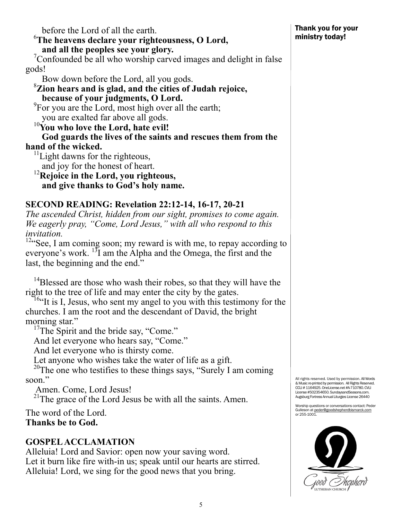6 **The heavens declare your righteousness, O Lord, and all the peoples see your glory.** <sup>7</sup>  $\sigma$ <sup>7</sup>Confounded be all who worship carved images and delight in false gods! Bow down before the Lord, all you gods. **Zion hears and is glad, and the cities of Judah rejoice, because of your judgments, O Lord.** <sup>9</sup>  ${}^{9}$ For you are the Lord, most high over all the earth; you are exalted far above all gods. 10**You who love the Lord, hate evil! God guards the lives of the saints and rescues them from the hand of the wicked.**  $11$ Light dawns for the righteous,

 and joy for the honest of heart. 12**Rejoice in the Lord, you righteous, and give thanks to God's holy name.**

before the Lord of all the earth.

# **SECOND READING: Revelation 22:12-14, 16-17, 20-21**

*The ascended Christ, hidden from our sight, promises to come again. We eagerly pray, "Come, Lord Jesus," with all who respond to this invitation.* 

 $12$ "See, I am coming soon; my reward is with me, to repay according to everyone's work.  $^{13}I$  am the Alpha and the Omega, the first and the last, the beginning and the end."

<sup>14</sup>Blessed are those who wash their robes, so that they will have the right to the tree of life and may enter the city by the gates.

<sup>16.</sup> It is I, Jesus, who sent my angel to you with this testimony for the churches. I am the root and the descendant of David, the bright morning star."<br><sup>17</sup>The Spirit and the bride say, "Come."

And let everyone who hears say, "Come."

And let everyone who is thirsty come.

Let anyone who wishes take the water of life as a gift.<br><sup>20</sup>The one who testifies to these things says, "Surely I am coming soon."

Amen. Come, Lord Jesus!

<sup>21</sup>The grace of the Lord Jesus be with all the saints. Amen.

The word of the Lord. **Thanks be to God.**

# **GOSPEL ACCLAMATION**

Alleluia! Lord and Savior: open now your saving word. Let it burn like fire with-in us; speak until our hearts are stirred. Alleluia! Lord, we sing for the good news that you bring.

All rights reserved. Used by permission. All Words & Music re-printed by permission. All Rights Reserved. CCLI # 1164925. OneLicense.net #A-710780. CVLI License #502354650. SundaysandSeasons.com. Augsburg Fortress Annual Liturgies License 26440

Worship questions or conversations contact: Peder Gulleson at <u>peder@goodshepherdbismarck.com</u><br>or 255-1001.

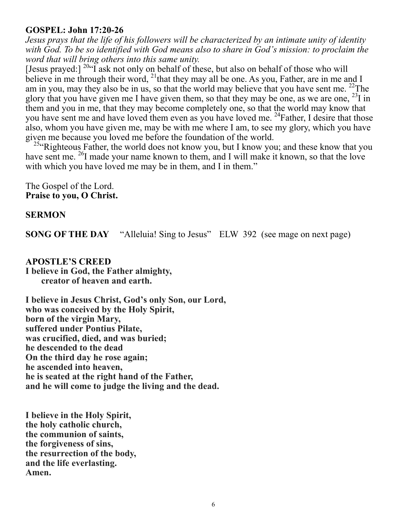#### **GOSPEL: John 17:20-26**

*Jesus prays that the life of his followers will be characterized by an intimate unity of identity with God. To be so identified with God means also to share in God's mission: to proclaim the word that will bring others into this same unity.* 

[Jesus prayed:]  $^{20}$ "I ask not only on behalf of these, but also on behalf of those who will believe in me through their word, <sup>21</sup>that they may all be one. As you, Father, are in me and I am in you, may they also be in us, so that the world may believe that you have sent me. <sup>22</sup>The glory that you have given me I have given them, so that they may be one, as we are one,  $^{23}$ I in them and you in me, that they may become completely one, so that the world may know that you have sent me and have loved them even as you have loved me. <sup>24</sup>Father, I desire that those also, whom you have given me, may be with me where I am, to see my glory, which you have given me because you loved me before the foundation of the world.

<sup>25</sup> Righteous Father, the world does not know you, but I know you; and these know that you have sent me. <sup>26</sup>I made your name known to them, and I will make it known, so that the love with which you have loved me may be in them, and I in them."

The Gospel of the Lord. **Praise to you, O Christ.**

#### **SERMON**

**SONG OF THE DAY** "Alleluia! Sing to Jesus" ELW 392 (see mage on next page)

**APOSTLE'S CREED I believe in God, the Father almighty, creator of heaven and earth.**

**I believe in Jesus Christ, God's only Son, our Lord, who was conceived by the Holy Spirit, born of the virgin Mary, suffered under Pontius Pilate, was crucified, died, and was buried; he descended to the dead On the third day he rose again; he ascended into heaven, he is seated at the right hand of the Father, and he will come to judge the living and the dead.**

**I believe in the Holy Spirit, the holy catholic church, the communion of saints, the forgiveness of sins, the resurrection of the body, and the life everlasting. Amen.**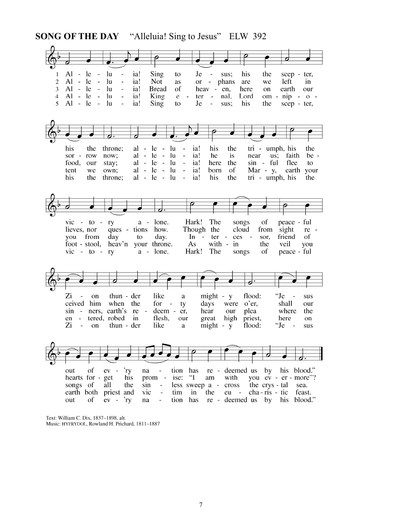**SONG OF THE DAY** "Alleluia! Sing to Jesus" ELW 392

| 1<br>$\overline{2}$<br>3<br>$\overline{\mathbf{4}}$<br>5 | Al<br>- le<br>$Al - le$<br>$Al - le$<br>$Al - le$<br>$Al - le$                                                     | $\ln$<br>$\blacksquare$<br>lu<br>$\sim$<br>lu<br>$\sim$<br>lu<br>$\overline{\phantom{a}}$<br>lu<br>$\overline{\phantom{a}}$ | ia!<br>$\overline{\phantom{a}}$<br>ia!<br>$\blacksquare$<br>ia!<br>$\overline{\phantom{a}}$<br>ia!<br>$\overline{\phantom{a}}$<br>ia!<br>$\overline{\phantom{0}}$ | Sing<br>to<br><b>Not</b><br>as<br>of<br><b>Bread</b><br>King<br>$\mathbf e$<br>Sing<br>to                                         | Je<br><b>or</b><br>ter<br>Je                                                                                                    | $\overline{\phantom{a}}$<br>sus;<br>phans<br>$\blacksquare$<br>heav - en,<br>$\overline{\phantom{a}}$<br>nal.<br>$\overline{\phantom{a}}$<br>sus; | his<br>are<br>here<br>Lord<br>his            | the<br>we<br>on<br>the                                                | scep - ter,<br>left<br>earth<br>$om - nip - o -$<br>scep - ter,         | in<br>our                          |
|----------------------------------------------------------|--------------------------------------------------------------------------------------------------------------------|-----------------------------------------------------------------------------------------------------------------------------|-------------------------------------------------------------------------------------------------------------------------------------------------------------------|-----------------------------------------------------------------------------------------------------------------------------------|---------------------------------------------------------------------------------------------------------------------------------|---------------------------------------------------------------------------------------------------------------------------------------------------|----------------------------------------------|-----------------------------------------------------------------------|-------------------------------------------------------------------------|------------------------------------|
|                                                          | his<br>the<br>$\sim$<br>sor<br>row<br>food,<br>our<br>tent<br>we<br>his<br>the                                     | throne;<br>now;<br>stay;<br>own;<br>throne;                                                                                 | $al -$<br>al - le<br>al -<br>al -                                                                                                                                 | - Iu<br>le<br>$\sim$<br>$\sim$ $-$<br>- lu<br>-lu<br>$al - le -$<br>- lu<br>- le -<br>-lu<br>-le<br>$\overline{a}$                | ia!<br>$\sim$ $-$<br>$\blacksquare$<br>ia!<br>ia!<br>$\blacksquare$<br>ia!<br>$\overline{\phantom{a}}$<br>ia!<br>$\overline{a}$ | his<br>the<br>he<br>is<br>the<br>here<br>of<br>born<br>his<br>the                                                                                 | near                                         | tri - umph, his<br>us;<br>sin - ful<br>$Mar - y$ ,<br>tri - umph, his | faith<br>flee<br>earth                                                  | the<br>$be -$<br>to<br>your<br>the |
|                                                          | $\overline{\text{vic}}$ - to - ry<br>lieves, nor<br>from<br>you<br>foot - stool,<br>$\overline{\text{vic}}$ - to - | day<br>heav'n<br>ry                                                                                                         | $a -$<br>ques - tions<br>to                                                                                                                                       | lone.<br>how.<br>day.<br>your throne.<br>a - lone.                                                                                | Hark!<br>Though the<br>$\ln -$<br>As<br>Hark!                                                                                   | The<br>ter -<br>with -<br>in<br>The                                                                                                               | songs<br>cloud<br>ces<br>$\sim$<br>songs     | of<br>from<br>sor,<br>the<br>of                                       | peace - ful<br>sight<br>friend<br>veil<br>peace - ful                   | re -<br>of<br>you                  |
|                                                          | Zi<br>$\overline{a}$<br>ceived<br>sin<br>$\sim$ $-$<br>$en -$<br>Zi<br>$\frac{1}{2}$                               | on<br>him<br>when<br>ners, earth's<br>tered, robed<br>on                                                                    | thun - der<br>the<br>re<br>$\sim$<br>in<br>$thun - der$                                                                                                           | like<br>$for -$<br>deem -<br>flesh,<br>like                                                                                       | $\rm{a}$<br>ty<br>er,<br>our<br>a                                                                                               | might - y<br>days<br>were<br>hear<br>our<br>high<br>great<br>$might - y$                                                                          | flood:<br>o'er,<br>plea<br>priest,<br>flood: | "Je<br>"Je                                                            | $\frac{1}{2}$<br>shall<br>where<br>here                                 | sus<br>our<br>the<br>on<br>sus     |
|                                                          | of<br>out<br>hearts for - get<br>songs of<br>earth both<br>of<br>out                                               | $ev -$<br>all<br>priest and<br>$ev - ry$                                                                                    | 'ry<br>na<br>his<br>the<br>sin<br>vic<br>na                                                                                                                       | tion<br>$\blacksquare$<br>ise:<br>prom -<br>$\blacksquare$<br>tim<br>$\overline{\phantom{a}}$<br>tion<br>$\overline{\phantom{a}}$ | has<br>$\mathbf{H}$<br>in<br>has                                                                                                | re - deemed us<br>with<br>$\rm am$<br>less sweep a - cross<br>the<br>$eu -$<br>re - deemed us                                                     |                                              | by<br>the crys - tal<br>cha-ris - tic<br>by                           | his blood."<br>you ev - er - more"?<br>sea.<br>feast.<br>his<br>blood." |                                    |

Text: William C. Dix, 1837–1898, alt.<br>Music: HYFRYDOL, Rowland H. Prichard, 1811–1887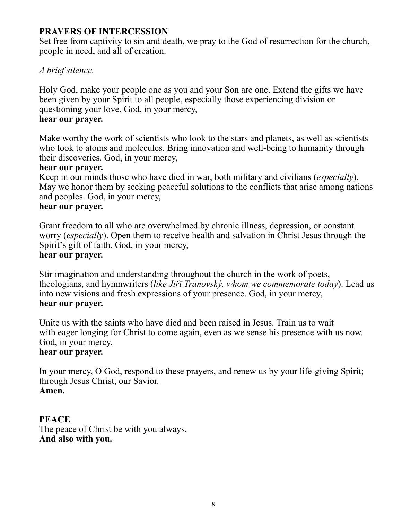#### **PRAYERS OF INTERCESSION**

Set free from captivity to sin and death, we pray to the God of resurrection for the church, people in need, and all of creation.

#### *A brief silence.*

Holy God, make your people one as you and your Son are one. Extend the gifts we have been given by your Spirit to all people, especially those experiencing division or questioning your love. God, in your mercy, **hear our prayer.** 

Make worthy the work of scientists who look to the stars and planets, as well as scientists who look to atoms and molecules. Bring innovation and well-being to humanity through their discoveries. God, in your mercy,

#### **hear our prayer.**

Keep in our minds those who have died in war, both military and civilians (*especially*). May we honor them by seeking peaceful solutions to the conflicts that arise among nations and peoples. God, in your mercy,

#### **hear our prayer.**

Grant freedom to all who are overwhelmed by chronic illness, depression, or constant worry (*especially*). Open them to receive health and salvation in Christ Jesus through the Spirit's gift of faith. God, in your mercy,

#### **hear our prayer.**

Stir imagination and understanding throughout the church in the work of poets, theologians, and hymnwriters (*like Jiřī Tranovský, whom we commemorate today*). Lead us into new visions and fresh expressions of your presence. God, in your mercy, **hear our prayer.**

Unite us with the saints who have died and been raised in Jesus. Train us to wait with eager longing for Christ to come again, even as we sense his presence with us now. God, in your mercy,

## **hear our prayer.**

In your mercy, O God, respond to these prayers, and renew us by your life-giving Spirit; through Jesus Christ, our Savior. **Amen.**

#### **PEACE**

The peace of Christ be with you always. **And also with you.**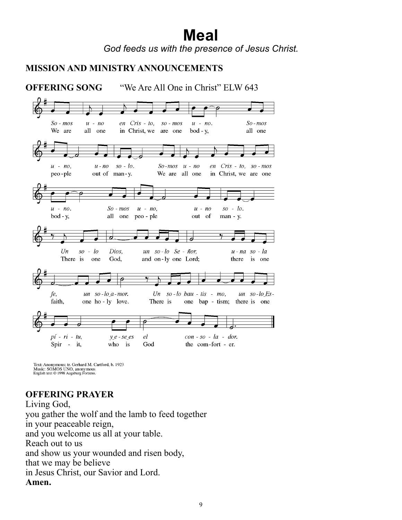# **Meal**

*God feeds us with the presence of Jesus Christ.* 

# **MISSION AND MINISTRY ANNOUNCEMENTS**



Text: Anonymous; tr. Gerhard M. Cartford, b. 1923 Music: SOMOS UNO, anonymous<br>English text © 1998 Augsburg Fortress.

# **OFFERING PRAYER**

Living God, you gather the wolf and the lamb to feed together in your peaceable reign, and you welcome us all at your table. Reach out to us and show us your wounded and risen body, that we may be believe in Jesus Christ, our Savior and Lord. **Amen.**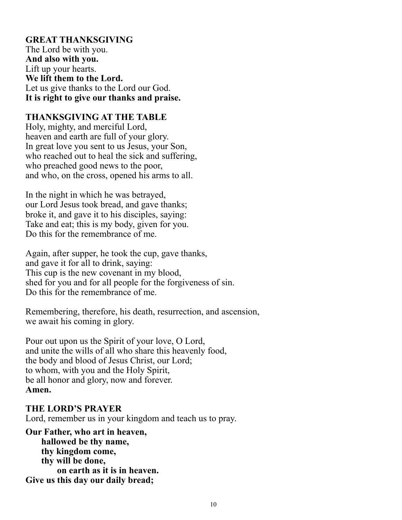## **GREAT THANKSGIVING**

The Lord be with you. **And also with you.** Lift up your hearts. **We lift them to the Lord.** Let us give thanks to the Lord our God. **It is right to give our thanks and praise.**

#### **THANKSGIVING AT THE TABLE**

Holy, mighty, and merciful Lord, heaven and earth are full of your glory. In great love you sent to us Jesus, your Son, who reached out to heal the sick and suffering, who preached good news to the poor, and who, on the cross, opened his arms to all.

In the night in which he was betrayed, our Lord Jesus took bread, and gave thanks; broke it, and gave it to his disciples, saying: Take and eat; this is my body, given for you. Do this for the remembrance of me.

Again, after supper, he took the cup, gave thanks, and gave it for all to drink, saying: This cup is the new covenant in my blood, shed for you and for all people for the forgiveness of sin. Do this for the remembrance of me.

Remembering, therefore, his death, resurrection, and ascension, we await his coming in glory.

Pour out upon us the Spirit of your love, O Lord, and unite the wills of all who share this heavenly food, the body and blood of Jesus Christ, our Lord; to whom, with you and the Holy Spirit, be all honor and glory, now and forever. **Amen.** 

#### **THE LORD'S PRAYER**

Lord, remember us in your kingdom and teach us to pray.

**Our Father, who art in heaven, hallowed be thy name, thy kingdom come, thy will be done, on earth as it is in heaven. Give us this day our daily bread;**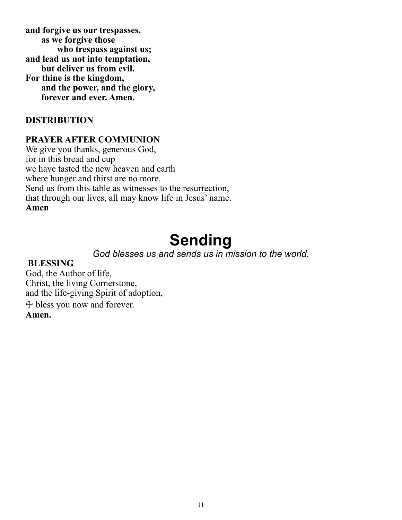**and forgive us our trespasses, as we forgive those who trespass against us; and lead us not into temptation, but deliver us from evil. For thine is the kingdom, and the power, and the glory, forever and ever. Amen.**

#### **DISTRIBUTION**

#### **PRAYER AFTER COMMUNION**

We give you thanks, generous God, for in this bread and cup we have tasted the new heaven and earth where hunger and thirst are no more. Send us from this table as witnesses to the resurrection, that through our lives, all may know life in Jesus' name. **Amen**

# **Sending**

*God blesses us and sends us in mission to the world.* 

#### **BLESSING**

God, the Author of life, Christ, the living Cornerstone, and the life-giving Spirit of adoption, ☩ bless you now and forever. **Amen.**